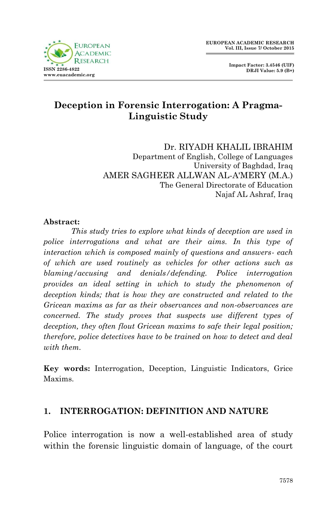

 **Impact Factor: 3.4546 (UIF) DRJI Value: 5.9 (B+)**

# **Deception in Forensic Interrogation: A Pragma-Linguistic Study**

Dr. RIYADH KHALIL IBRAHIM Department of English, College of Languages University of Baghdad, Iraq AMER SAGHEER ALLWAN AL-A'MERY (M.A.) The General Directorate of Education Najaf AL Ashraf, Iraq

#### **Abstract:**

*This study tries to explore what kinds of deception are used in police interrogations and what are their aims. In this type of interaction which is composed mainly of questions and answers- each of which are used routinely as vehicles for other actions such as blaming/accusing and denials/defending. Police interrogation provides an ideal setting in which to study the phenomenon of deception kinds; that is how they are constructed and related to the Gricean maxims as far as their observances and non-observances are concerned. The study proves that suspects use different types of deception, they often flout Gricean maxims to safe their legal position; therefore, police detectives have to be trained on how to detect and deal with them.*

**Key words:** Interrogation, Deception, Linguistic Indicators, Grice Maxims.

### **1. INTERROGATION: DEFINITION AND NATURE**

Police interrogation is now a well-established area of study within the forensic linguistic domain of language, of the court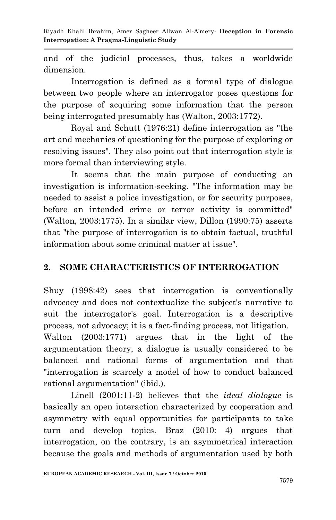and of the judicial processes, thus, takes a worldwide dimension.

Interrogation is defined as a formal type of dialogue between two people where an interrogator poses questions for the purpose of acquiring some information that the person being interrogated presumably has (Walton, 2003:1772).

Royal and Schutt (1976:21) define interrogation as "the art and mechanics of questioning for the purpose of exploring or resolving issues". They also point out that interrogation style is more formal than interviewing style.

It seems that the main purpose of conducting an investigation is information-seeking. "The information may be needed to assist a police investigation, or for security purposes, before an intended crime or terror activity is committed" (Walton, 2003:1775). In a similar view, Dillon (1990:75) asserts that "the purpose of interrogation is to obtain factual, truthful information about some criminal matter at issue".

### **2. SOME CHARACTERISTICS OF INTERROGATION**

Shuy (1998:42) sees that interrogation is conventionally advocacy and does not contextualize the subject's narrative to suit the interrogator's goal. Interrogation is a descriptive process, not advocacy; it is a fact-finding process, not litigation. Walton (2003:1771) argues that in the light of the argumentation theory, a dialogue is usually considered to be balanced and rational forms of argumentation and that "interrogation is scarcely a model of how to conduct balanced rational argumentation" (ibid.).

Linell (2001:11-2) believes that the *ideal dialogue* is basically an open interaction characterized by cooperation and asymmetry with equal opportunities for participants to take turn and develop topics. Braz (2010: 4) argues that interrogation, on the contrary, is an asymmetrical interaction because the goals and methods of argumentation used by both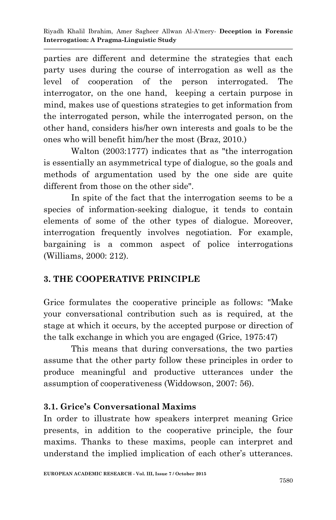parties are different and determine the strategies that each party uses during the course of interrogation as well as the level of cooperation of the person interrogated. The interrogator, on the one hand, keeping a certain purpose in mind, makes use of questions strategies to get information from the interrogated person, while the interrogated person, on the other hand, considers his/her own interests and goals to be the ones who will benefit him/her the most (Braz, 2010.)

Walton (2003:1777) indicates that as "the interrogation is essentially an asymmetrical type of dialogue, so the goals and methods of argumentation used by the one side are quite different from those on the other side".

In spite of the fact that the interrogation seems to be a species of information-seeking dialogue, it tends to contain elements of some of the other types of dialogue. Moreover, interrogation frequently involves negotiation. For example, bargaining is a common aspect of police interrogations (Williams, 2000: 212).

## **3. THE COOPERATIVE PRINCIPLE**

Grice formulates the cooperative principle as follows: "Make your conversational contribution such as is required, at the stage at which it occurs, by the accepted purpose or direction of the talk exchange in which you are engaged (Grice, 1975:47)

This means that during conversations, the two parties assume that the other party follow these principles in order to produce meaningful and productive utterances under the assumption of cooperativeness (Widdowson, 2007: 56).

## **3.1. Grice's Conversational Maxims**

In order to illustrate how speakers interpret meaning Grice presents, in addition to the cooperative principle, the four maxims. Thanks to these maxims, people can interpret and understand the implied implication of each other's utterances.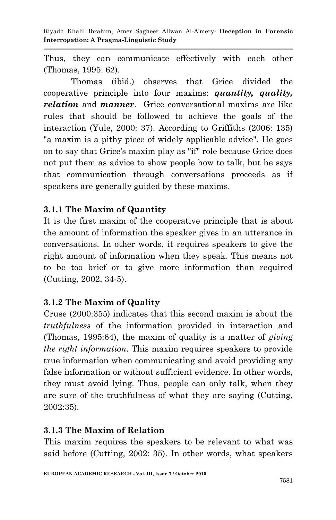Thus, they can communicate effectively with each other (Thomas, 1995: 62).

Thomas (ibid.) observes that Grice divided the cooperative principle into four maxims: *quantity, quality, relation* and *manner*. Grice conversational maxims are like rules that should be followed to achieve the goals of the interaction (Yule, 2000: 37). According to Griffiths (2006: 135) "a maxim is a pithy piece of widely applicable advice". He goes on to say that Grice's maxim play as "if" role because Grice does not put them as advice to show people how to talk, but he says that communication through conversations proceeds as if speakers are generally guided by these maxims.

## **3.1.1 The Maxim of Quantity**

It is the first maxim of the cooperative principle that is about the amount of information the speaker gives in an utterance in conversations. In other words, it requires speakers to give the right amount of information when they speak. This means not to be too brief or to give more information than required (Cutting, 2002, 34-5).

### **3.1.2 The Maxim of Quality**

Cruse (2000:355) indicates that this second maxim is about the *truthfulness* of the information provided in interaction and (Thomas, 1995:64), the maxim of quality is a matter of *giving the right information*. This maxim requires speakers to provide true information when communicating and avoid providing any false information or without sufficient evidence. In other words, they must avoid lying. Thus, people can only talk, when they are sure of the truthfulness of what they are saying (Cutting, 2002:35).

### **3.1.3 The Maxim of Relation**

This maxim requires the speakers to be relevant to what was said before (Cutting, 2002: 35). In other words, what speakers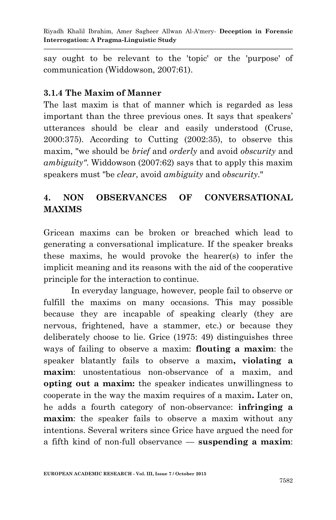say ought to be relevant to the 'topic' or the 'purpose' of communication (Widdowson, 2007:61).

## **3.1.4 The Maxim of Manner**

The last maxim is that of manner which is regarded as less important than the three previous ones. It says that speakers' utterances should be clear and easily understood (Cruse, 2000:375). According to Cutting (2002:35), to observe this maxim, "we should be *brief* and *orderly* and avoid *obscurity* and *ambiguity"*. Widdowson (2007:62) says that to apply this maxim speakers must "be *clear*, avoid *ambiguity* and *obscurity*."

# **4. NON OBSERVANCES OF CONVERSATIONAL MAXIMS**

Gricean maxims can be broken or breached which lead to generating a conversational implicature. If the speaker breaks these maxims, he would provoke the hearer(s) to infer the implicit meaning and its reasons with the aid of the cooperative principle for the interaction to continue.

In everyday language, however, people fail to observe or fulfill the maxims on many occasions. This may possible because they are incapable of speaking clearly (they are nervous, frightened, have a stammer, etc.) or because they deliberately choose to lie. Grice (1975: 49) distinguishes three ways of failing to observe a maxim: **flouting a maxim**: the speaker blatantly fails to observe a maxim**, violating a maxim**: unostentatious non-observance of a maxim, and **opting out a maxim:** the speaker indicates unwillingness to cooperate in the way the maxim requires of a maxim**.** Later on, he adds a fourth category of non-observance: **infringing a maxim**: the speaker fails to observe a maxim without any intentions. Several writers since Grice have argued the need for a fifth kind of non-full observance — **suspending a maxim**: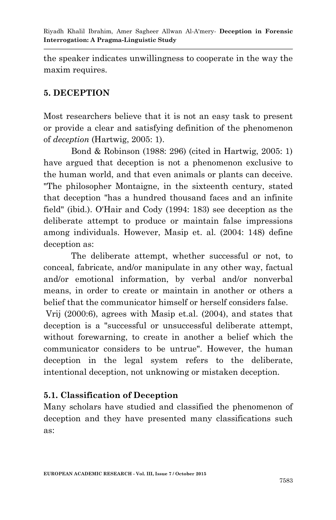the speaker indicates unwillingness to cooperate in the way the maxim requires.

## **5. DECEPTION**

Most researchers believe that it is not an easy task to present or provide a clear and satisfying definition of the phenomenon of *deception* (Hartwig, 2005: 1).

Bond & Robinson (1988: 296) (cited in Hartwig, 2005: 1) have argued that deception is not a phenomenon exclusive to the human world, and that even animals or plants can deceive. "The philosopher Montaigne, in the sixteenth century, stated that deception "has a hundred thousand faces and an infinite field" (ibid.). O'Hair and Cody (1994: 183) see deception as the deliberate attempt to produce or maintain false impressions among individuals. However, Masip et. al. (2004: 148) define deception as:

The deliberate attempt, whether successful or not, to conceal, fabricate, and/or manipulate in any other way, factual and/or emotional information, by verbal and/or nonverbal means, in order to create or maintain in another or others a belief that the communicator himself or herself considers false.

Vrij (2000:6), agrees with Masip et.al. (2004), and states that deception is a "successful or unsuccessful deliberate attempt, without forewarning, to create in another a belief which the communicator considers to be untrue". However, the human deception in the legal system refers to the deliberate, intentional deception, not unknowing or mistaken deception.

### **5.1. Classification of Deception**

Many scholars have studied and classified the phenomenon of deception and they have presented many classifications such as: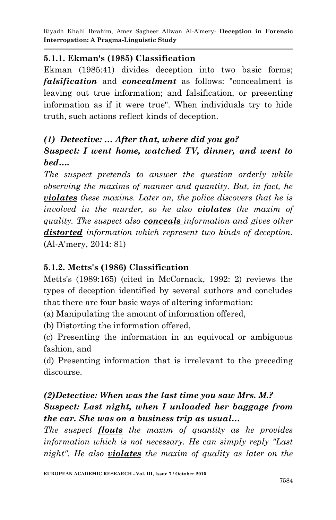## **5.1.1. Ekman's (1985) Classification**

Ekman (1985:41) divides deception into two basic forms; *falsification* and *concealment* as follows: "concealment is leaving out true information; and falsification, or presenting information as if it were true". When individuals try to hide truth, such actions reflect kinds of deception.

# *(1) Detective: … After that, where did you go? Suspect: I went home, watched TV, dinner, and went to bed….*

*The suspect pretends to answer the question orderly while observing the maxims of manner and quantity. But, in fact, he violates these maxims. Later on, the police discovers that he is involved in the murder, so he also violates the maxim of quality. The suspect also conceals information and gives other distorted information which represent two kinds of deception.* (Al-A'mery, 2014: 81)

### **5.1.2. Metts's (1986) Classification**

Metts's (1989:165) (cited in McCornack, 1992: 2) reviews the types of deception identified by several authors and concludes that there are four basic ways of altering information:

(a) Manipulating the amount of information offered,

(b) Distorting the information offered,

(c) Presenting the information in an equivocal or ambiguous fashion, and

(d) Presenting information that is irrelevant to the preceding discourse.

# *(2)Detective: When was the last time you saw Mrs. M.? Suspect: Last night, when I unloaded her baggage from the car. She was on a business trip as usual…*

*The suspect flouts the maxim of quantity as he provides information which is not necessary. He can simply reply "Last night". He also violates the maxim of quality as later on the*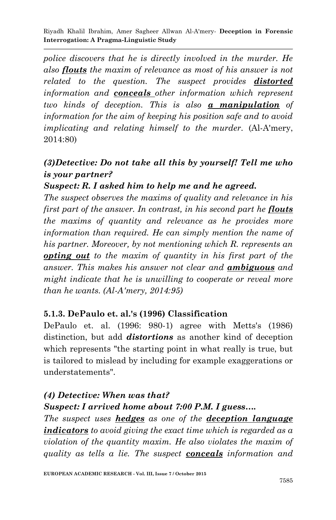*police discovers that he is directly involved in the murder. He also flouts the maxim of relevance as most of his answer is not related to the question. The suspect provides distorted information and conceals other information which represent two kinds of deception. This is also a manipulation of information for the aim of keeping his position safe and to avoid implicating and relating himself to the murder.* (Al-A'mery, 2014:80)

# *(3)Detective: Do not take all this by yourself! Tell me who is your partner?*

## *Suspect: R. I asked him to help me and he agreed.*

*The suspect observes the maxims of quality and relevance in his first part of the answer. In contrast, in his second part he flouts the maxims of quantity and relevance as he provides more information than required. He can simply mention the name of his partner. Moreover, by not mentioning which R. represents an opting out to the maxim of quantity in his first part of the answer. This makes his answer not clear and ambiguous and might indicate that he is unwilling to cooperate or reveal more than he wants. (Al-A'mery, 2014:95)*

### **5.1.3. DePaulo et. al.'s (1996) Classification**

DePaulo et. al. (1996: 980-1) agree with Metts's (1986) distinction, but add *distortions* as another kind of deception which represents "the starting point in what really is true, but is tailored to mislead by including for example exaggerations or understatements".

# *(4) Detective: When was that? Suspect: I arrived home about 7:00 P.M. I guess….*

*The suspect uses hedges as one of the deception language indicators to avoid giving the exact time which is regarded as a violation of the quantity maxim. He also violates the maxim of quality as tells a lie. The suspect conceals information and*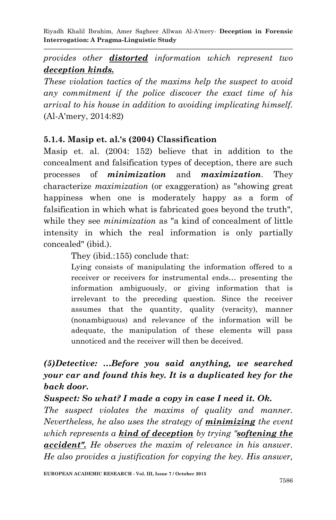# *provides other distorted information which represent two deception kinds.*

*These violation tactics of the maxims help the suspect to avoid any commitment if the police discover the exact time of his arrival to his house in addition to avoiding implicating himself.*  (Al-A'mery, 2014:82)

## **5.1.4. Masip et. al.'s (2004) Classification**

Masip et. al. (2004: 152) believe that in addition to the concealment and falsification types of deception, there are such processes of *minimization* and *maximization*. They characterize *maximization* (or exaggeration) as "showing great happiness when one is moderately happy as a form of falsification in which what is fabricated goes beyond the truth", while they see *minimization* as "a kind of concealment of little intensity in which the real information is only partially concealed" (ibid.).

They (ibid.:155) conclude that:

Lying consists of manipulating the information offered to a receiver or receivers for instrumental ends… presenting the information ambiguously, or giving information that is irrelevant to the preceding question. Since the receiver assumes that the quantity, quality (veracity), manner (nonambiguous) and relevance of the information will be adequate, the manipulation of these elements will pass unnoticed and the receiver will then be deceived.

# *(5)Detective: …Before you said anything, we searched your car and found this key. It is a duplicated key for the back door.*

### *Suspect: So what? I made a copy in case I need it. Ok.*

*The suspect violates the maxims of quality and manner. Nevertheless, he also uses the strategy of minimizing the event which represents a kind of deception by trying "softening the accident". He observes the maxim of relevance in his answer. He also provides a justification for copying the key. His answer,*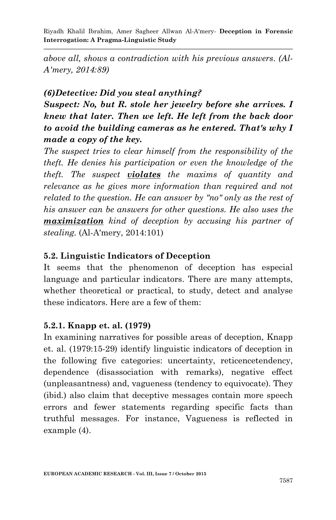*above all, shows a contradiction with his previous answers. (Al-A'mery, 2014:89)*

## *(6)Detective: Did you steal anything?*

*Suspect: No, but R. stole her jewelry before she arrives. I knew that later. Then we left. He left from the back door to avoid the building cameras as he entered. That's why I made a copy of the key.*

*The suspect tries to clear himself from the responsibility of the theft. He denies his participation or even the knowledge of the theft. The suspect violates the maxims of quantity and relevance as he gives more information than required and not related to the question. He can answer by "no" only as the rest of his answer can be answers for other questions. He also uses the maximization kind of deception by accusing his partner of stealing.* (Al-A'mery, 2014:101)

# **5.2. Linguistic Indicators of Deception**

It seems that the phenomenon of deception has especial language and particular indicators. There are many attempts, whether theoretical or practical, to study, detect and analyse these indicators. Here are a few of them:

# **5.2.1. Knapp et. al. (1979)**

In examining narratives for possible areas of deception, Knapp et. al. (1979:15-29) identify linguistic indicators of deception in the following five categories: uncertainty, reticencetendency, dependence (disassociation with remarks), negative effect (unpleasantness) and, vagueness (tendency to equivocate). They (ibid.) also claim that deceptive messages contain more speech errors and fewer statements regarding specific facts than truthful messages. For instance, Vagueness is reflected in example (4).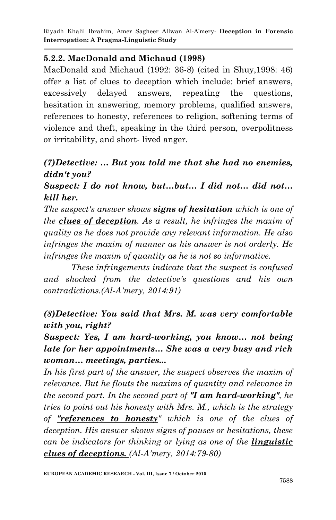### **5.2.2. MacDonald and Michaud (1998)**

MacDonald and Michaud (1992: 36-8) (cited in Shuy,1998: 46) offer a list of clues to deception which include: brief answers, excessively delayed answers, repeating the questions, hesitation in answering, memory problems, qualified answers, references to honesty, references to religion, softening terms of violence and theft, speaking in the third person, overpolitness or irritability, and short- lived anger.

# *(7)Detective: … But you told me that she had no enemies, didn't you?*

## *Suspect: I do not know, but…but… I did not… did not… kill her.*

*The suspect's answer shows signs of hesitation which is one of the clues of deception. As a result, he infringes the maxim of quality as he does not provide any relevant information. He also infringes the maxim of manner as his answer is not orderly. He infringes the maxim of quantity as he is not so informative.*

*These infringements indicate that the suspect is confused and shocked from the detective's questions and his own contradictions.(Al-A'mery, 2014:91)*

# *(8)Detective: You said that Mrs. M. was very comfortable with you, right?*

# *Suspect: Yes, I am hard-working, you know… not being late for her appointments… She was a very busy and rich woman… meetings, parties...*

In his first part of the answer, the suspect observes the maxim of *relevance. But he flouts the maxims of quantity and relevance in the second part. In the second part of "I am hard-working", he tries to point out his honesty with Mrs. M., which is the strategy of "references to honesty" which is one of the clues of deception. His answer shows signs of pauses or hesitations, these can be indicators for thinking or lying as one of the linguistic clues of deceptions. (Al-A'mery, 2014:79-80)*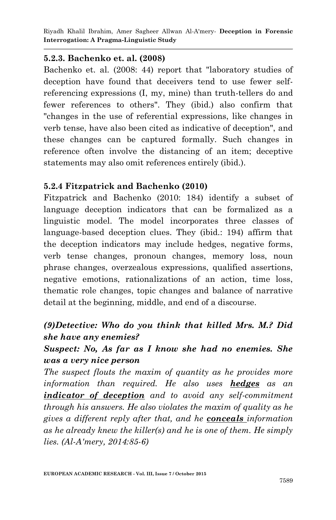#### **5.2.3. Bachenko et. al. (2008)**

Bachenko et. al. (2008: 44) report that "laboratory studies of deception have found that deceivers tend to use fewer selfreferencing expressions (I, my, mine) than truth-tellers do and fewer references to others". They (ibid.) also confirm that "changes in the use of referential expressions, like changes in verb tense, have also been cited as indicative of deception", and these changes can be captured formally. Such changes in reference often involve the distancing of an item; deceptive statements may also omit references entirely (ibid.).

#### **5.2.4 Fitzpatrick and Bachenko (2010)**

Fitzpatrick and Bachenko (2010: 184) identify a subset of language deception indicators that can be formalized as a linguistic model. The model incorporates three classes of language-based deception clues. They (ibid.: 194) affirm that the deception indicators may include hedges, negative forms, verb tense changes, pronoun changes, memory loss, noun phrase changes, overzealous expressions, qualified assertions, negative emotions, rationalizations of an action, time loss, thematic role changes, topic changes and balance of narrative detail at the beginning, middle, and end of a discourse.

# *(9)Detective: Who do you think that killed Mrs. M.? Did she have any enemies?*

## *Suspect: No, As far as I know she had no enemies. She was a very nice person*

*The suspect flouts the maxim of quantity as he provides more information than required. He also uses hedges as an indicator of deception and to avoid any self-commitment through his answers. He also violates the maxim of quality as he gives a different reply after that, and he conceals information as he already knew the killer(s) and he is one of them. He simply lies. (Al-A'mery, 2014:85-6)*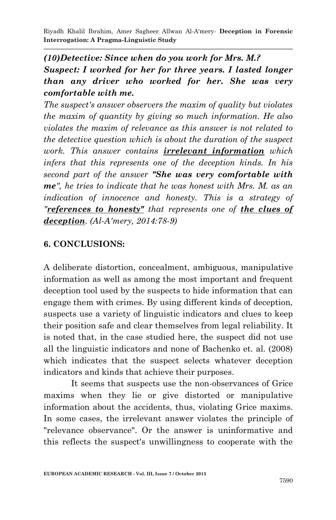# *(10)Detective: Since when do you work for Mrs. M.? Suspect: I worked for her for three years. I lasted longer than any driver who worked for her. She was very comfortable with me.*

*The suspect's answer observers the maxim of quality but violates the maxim of quantity by giving so much information. He also violates the maxim of relevance as this answer is not related to the detective question which is about the duration of the suspect work. This answer contains irrelevant information which infers that this represents one of the deception kinds. In his second part of the answer "She was very comfortable with me", he tries to indicate that he was honest with Mrs. M. as an indication of innocence and honesty. This is a strategy of "references to honesty" that represents one of the clues of deception. (Al-A'mery, 2014:78-9)*

### **6. CONCLUSIONS:**

A deliberate distortion, concealment, ambiguous, manipulative information as well as among the most important and frequent deception tool used by the suspects to hide information that can engage them with crimes. By using different kinds of deception, suspects use a variety of linguistic indicators and clues to keep their position safe and clear themselves from legal reliability. It is noted that, in the case studied here, the suspect did not use all the linguistic indicators and none of Bachenko et. al. (2008) which indicates that the suspect selects whatever deception indicators and kinds that achieve their purposes.

It seems that suspects use the non-observances of Grice maxims when they lie or give distorted or manipulative information about the accidents, thus, violating Grice maxims. In some cases, the irrelevant answer violates the principle of "relevance observance". Or the answer is uninformative and this reflects the suspect's unwillingness to cooperate with the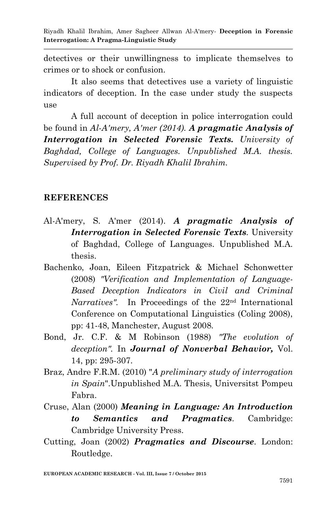detectives or their unwillingness to implicate themselves to crimes or to shock or confusion.

It also seems that detectives use a variety of linguistic indicators of deception. In the case under study the suspects use

A full account of deception in police interrogation could be found in *Al-A'mery, A'mer (2014). A pragmatic Analysis of Interrogation in Selected Forensic Texts. University of Baghdad, College of Languages. Unpublished M.A. thesis. Supervised by Prof. Dr. Riyadh Khalil Ibrahim.*

#### **REFERENCES**

- Al-A'mery, S. A'mer (2014). *A pragmatic Analysis of Interrogation in Selected Forensic Texts.* University of Baghdad, College of Languages. Unpublished M.A. thesis.
- Bachenko, Joan, Eileen Fitzpatrick & Michael Schonwetter (2008) *"Verification and Implementation of Language-Based Deception Indicators in Civil and Criminal Narratives".* In Proceedings of the 22nd International Conference on Computational Linguistics (Coling 2008), pp: 41-48, Manchester, August 2008.
- Bond, Jr. C.F. & M Robinson (1988) *"The evolution of deception".* In *Journal of Nonverbal Behavior,* Vol. 14, pp: 295-307.
- Braz, Andre F.R.M. (2010) "*A preliminary study of interrogation in Spain*".Unpublished M.A. Thesis, Universitst Pompeu Fabra.
- Cruse, Alan (2000) *Meaning in Language: An Introduction to Semantics and Pragmatics*. Cambridge: Cambridge University Press.
- Cutting, Joan (2002) *Pragmatics and Discourse*. London: Routledge.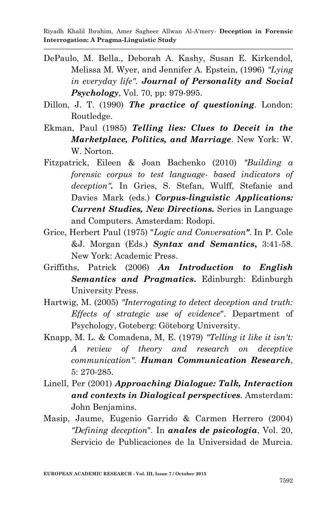- DePaulo, M. Bella., Deborah A. Kashy, Susan E. Kirkendol, Melissa M. Wyer, and Jennifer A. Epstein, (1996) *"Lying in everyday life"*. *Journal of Personality and Social Psychology*, Vol. 70, pp: 979-995.
- Dillon, J. T. (1990) *The practice of questioning*. London: Routledge.
- Ekman, Paul (1985) *Telling lies: Clues to Deceit in the Marketplace, Politics, and Marriage*. New York: W. W. Norton.
- Fitzpatrick, Eileen & Joan Bachenko (2010) *"Building a forensic corpus to test language- based indicators of deception".* In Gries, S. Stefan, Wulff, Stefanie and Davies Mark (eds.) *Corpus-linguistic Applications: Current Studies, New Directions.* Series in Language and Computers. Amsterdam: Rodopi.
- Grice, Herbert Paul (1975) "*Logic and Conversation"*. In P. Cole &J. Morgan (Eds.) *Syntax and Semantics***,** 3:41-58. New York: Academic Press.
- Griffiths, Patrick (2006) *An Introduction to English Semantics and Pragmatics***.** Edinburgh: Edinburgh University Press.
- Hartwig, M. (2005) *"Interrogating to detect deception and truth: Effects of strategic use of evidence*". Department of Psychology, Goteberg: Göteborg University.
- Knapp, M. L. & Comadena, M, E. (1979) *"Telling it like it isn't: A review of theory and research on deceptive communication". Human Communication Research*, 5: 270-285.
- Linell, Per (2001) *Approaching Dialogue: Talk, Interaction and contexts in Dialogical perspectives*. Amsterdam: John Benjamins.
- Masip, Jaume, Eugenio Garrido & Carmen Herrero (2004) *"Defining deception*". In *anales de psicología*, Vol. 20, Servicio de Publicaciones de la Universidad de Murcia.